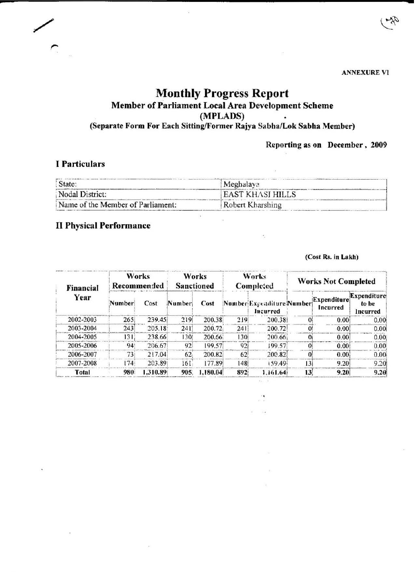**ANNEXURE VI** 

# **Monthly** Progress **Report**  Member of Parliament Local Area Development Scheme (MPLADS) (Separate Form For Each Sitting/Former Rajya Sabha/Lok Sabha Member)

**• -**

## **Reporting as on December, 2009**

## , Particulars

*r* 

| State:                            | Meghalaya               |  |  |
|-----------------------------------|-------------------------|--|--|
| Nodal District:                   | <b>EAST KHASI HILLS</b> |  |  |
| Name of the Member of Parliament: | Robert Kharshing        |  |  |

×,

 $\cdot$ 

## II Physical Performance

## **(COSI Rs. in Lakh)**

| Financial<br>Year | Works<br>Recommended |          | Works<br><b>Sanctioned</b> |          | Works<br>Completed |                                       | <b>Works Not Completed</b> |                                |                                         |
|-------------------|----------------------|----------|----------------------------|----------|--------------------|---------------------------------------|----------------------------|--------------------------------|-----------------------------------------|
|                   | Number               | Cost     | Number                     | Cost     |                    | Number Expenditure Number<br>Incurred |                            | Expenditure<br><b>Incurred</b> | Expenditure<br>to be<br><b>Incurred</b> |
| 2002-2003         | 265                  | 239.45   | 219                        | 200.38   | 219                | 200.38                                | $^{\Omega}$                | 0.00                           | 0.00                                    |
| 2003-2004         | 243                  | 205.18   | 241                        | 200.72   | 241                | 200.72                                | 0                          | 0.00!                          | 0.001                                   |
| 2004-2005         | 131                  | 238.66   | 130                        | 200.66   | 130                | 200.66                                | $\Omega$                   | 0.00                           | 0.00                                    |
| 2005-2006         | 94                   | 206.67   | 92                         | 199.57   | 92                 | 199.57                                | ∩                          | 0.001                          | 0.00                                    |
| 2006-2007         | 73.                  | 217.04   | 62.                        | 200.82   | 62                 | 200.82                                |                            | 0.00                           | 0.00                                    |
| 2007-2008         | 174.                 | 203.89   | 161.                       | 177.89   | 148                | 159.49                                | 131                        | 9.20                           | 9.20                                    |
| Total             | 980                  | 1.310.89 | 905                        | 1,180.04 | 892                | 1.161.64                              | 13                         | 9.20                           | 9.20                                    |